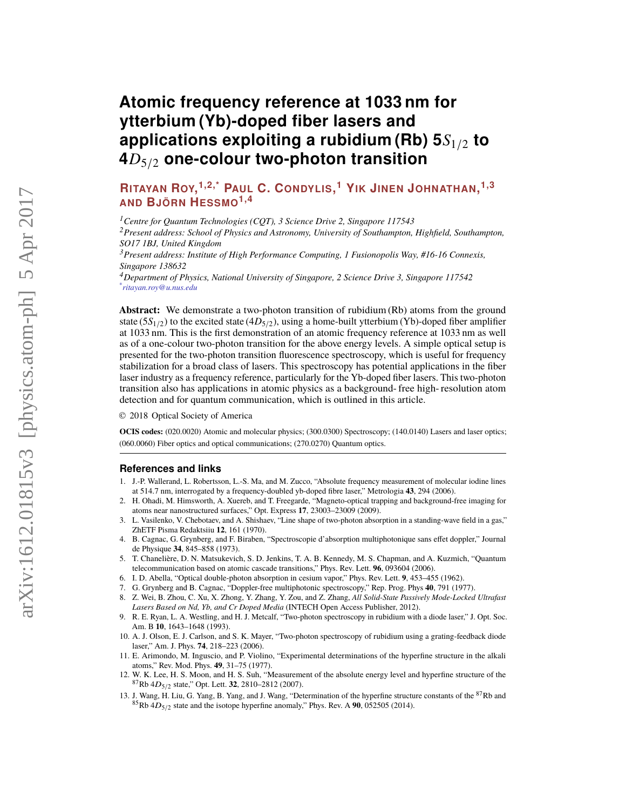# **Atomic frequency reference at 1033 nm for ytterbium (Yb)-doped fiber lasers and applications exploiting a rubidium (Rb) 5***S*1/<sup>2</sup> **to 4***D*5/<sup>2</sup> **one-colour two-photon transition**

**RITAYAN ROY, 1,2,\* PAUL C. CONDYLIS, <sup>1</sup> YIK JINEN JOHNATHAN, 1,3 AND BJÖRN HESSMO1,4**

*<sup>1</sup>Centre for Quantum Technologies (CQT), 3 Science Drive 2, Singapore 117543*

*<sup>2</sup>Present address: School of Physics and Astronomy, University of Southampton, Highfield, Southampton, SO17 1BJ, United Kingdom*

*<sup>3</sup>Present address: Institute of High Performance Computing, 1 Fusionopolis Way, #16-16 Connexis, Singapore 138632*

*<sup>4</sup>Department of Physics, National University of Singapore, 2 Science Drive 3, Singapore 117542 \* ritayan.roy@u.nus.edu*

**Abstract:** We demonstrate a two-photon transition of rubidium (Rb) atoms from the ground state  $(5S<sub>1/2</sub>)$  to the excited state  $(4D<sub>5/2</sub>)$ , using a home-built ytterbium (Yb)-doped fiber amplifier at 1033 nm. This is the first demonstration of an atomic frequency reference at 1033 nm as well as of a one-colour two-photon transition for the above energy levels. A simple optical setup is presented for the two-photon transition fluorescence spectroscopy, which is useful for frequency stabilization for a broad class of lasers. This spectroscopy has potential applications in the fiber laser industry as a frequency reference, particularly for the Yb-doped fiber lasers. This two-photon transition also has applications in atomic physics as a background- free high- resolution atom detection and for quantum communication, which is outlined in this article.

© 2018 Optical Society of America

**OCIS codes:** (020.0020) Atomic and molecular physics; (300.0300) Spectroscopy; (140.0140) Lasers and laser optics; (060.0060) Fiber optics and optical communications; (270.0270) Quantum optics.

### **References and links**

- <span id="page-0-0"></span>1. J.-P. Wallerand, L. Robertsson, L.-S. Ma, and M. Zucco, "Absolute frequency measurement of molecular iodine lines at 514.7 nm, interrogated by a frequency-doubled yb-doped fibre laser," Metrologia **43**, 294 (2006).
- <span id="page-0-1"></span>2. H. Ohadi, M. Himsworth, A. Xuereb, and T. Freegarde, "Magneto-optical trapping and background-free imaging for atoms near nanostructured surfaces," Opt. Express **17**, 23003–23009 (2009).
- <span id="page-0-2"></span>3. L. Vasilenko, V. Chebotaev, and A. Shishaev, "Line shape of two-photon absorption in a standing-wave field in a gas," ZhETF Pisma Redaktsiiu **12**, 161 (1970).
- <span id="page-0-3"></span>4. B. Cagnac, G. Grynberg, and F. Biraben, "Spectroscopie d'absorption multiphotonique sans effet doppler," Journal de Physique **34**, 845–858 (1973).
- <span id="page-0-4"></span>5. T. Chanelière, D. N. Matsukevich, S. D. Jenkins, T. A. B. Kennedy, M. S. Chapman, and A. Kuzmich, "Quantum telecommunication based on atomic cascade transitions," Phys. Rev. Lett. **96**, 093604 (2006).
- <span id="page-0-5"></span>6. I. D. Abella, "Optical double-photon absorption in cesium vapor," Phys. Rev. Lett. **9**, 453–455 (1962).
- <span id="page-0-6"></span>7. G. Grynberg and B. Cagnac, "Doppler-free multiphotonic spectroscopy," Rep. Prog. Phys **40**, 791 (1977).
- <span id="page-0-7"></span>8. Z. Wei, B. Zhou, C. Xu, X. Zhong, Y. Zhang, Y. Zou, and Z. Zhang, *All Solid-State Passively Mode-Locked Ultrafast Lasers Based on Nd, Yb, and Cr Doped Media* (INTECH Open Access Publisher, 2012).
- <span id="page-0-8"></span>9. R. E. Ryan, L. A. Westling, and H. J. Metcalf, "Two-photon spectroscopy in rubidium with a diode laser," J. Opt. Soc. Am. B **10**, 1643–1648 (1993).
- <span id="page-0-9"></span>10. A. J. Olson, E. J. Carlson, and S. K. Mayer, "Two-photon spectroscopy of rubidium using a grating-feedback diode laser," Am. J. Phys. **74**, 218–223 (2006).
- <span id="page-0-10"></span>11. E. Arimondo, M. Inguscio, and P. Violino, "Experimental determinations of the hyperfine structure in the alkali atoms," Rev. Mod. Phys. **49**, 31–75 (1977).
- <span id="page-0-11"></span>12. W. K. Lee, H. S. Moon, and H. S. Suh, "Measurement of the absolute energy level and hyperfine structure of the <sup>87</sup>Rb 4D5/<sup>2</sup> state," Opt. Lett. **32**, 2810–2812 (2007).
- <span id="page-0-12"></span>13. J. Wang, H. Liu, G. Yang, B. Yang, and J. Wang, "Determination of the hyperfine structure constants of the <sup>87</sup>Rb and  ${}^{85}$ Rb  $4D_{5/2}$  state and the isotope hyperfine anomaly," Phys. Rev. A 90, 052505 (2014).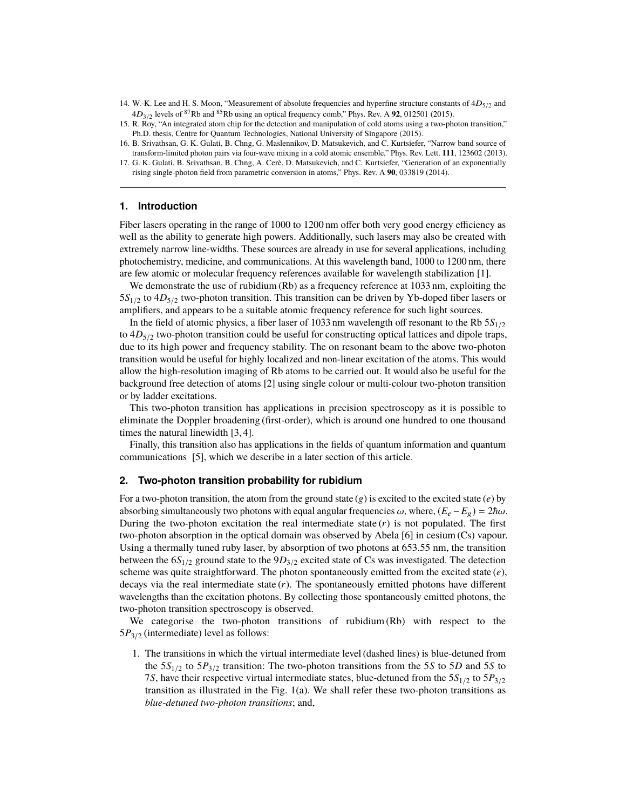- <span id="page-1-0"></span>14. W.-K. Lee and H. S. Moon, "Measurement of absolute frequencies and hyperfine structure constants of  $4D_{5/2}$  and  $4D_{3/2}$  levels of <sup>87</sup>Rb and <sup>85</sup>Rb using an optical frequency comb," Phys. Rev. A **92**, 012501 (2015).
- <span id="page-1-1"></span>15. R. Roy, "An integrated atom chip for the detection and manipulation of cold atoms using a two-photon transition," Ph.D. thesis, Centre for Quantum Technologies, National University of Singapore (2015).
- <span id="page-1-2"></span>16. B. Srivathsan, G. K. Gulati, B. Chng, G. Maslennikov, D. Matsukevich, and C. Kurtsiefer, "Narrow band source of transform-limited photon pairs via four-wave mixing in a cold atomic ensemble," Phys. Rev. Lett. **111**, 123602 (2013).
- <span id="page-1-3"></span>17. G. K. Gulati, B. Srivathsan, B. Chng, A. Cerè, D. Matsukevich, and C. Kurtsiefer, "Generation of an exponentially rising single-photon field from parametric conversion in atoms," Phys. Rev. A **90**, 033819 (2014).

## **1. Introduction**

Fiber lasers operating in the range of 1000 to 1200 nm offer both very good energy efficiency as well as the ability to generate high powers. Additionally, such lasers may also be created with extremely narrow line-widths. These sources are already in use for several applications, including photochemistry, medicine, and communications. At this wavelength band, 1000 to 1200 nm, there are few atomic or molecular frequency references available for wavelength stabilization [\[1\]](#page-0-0).

We demonstrate the use of rubidium (Rb) as a frequency reference at 1033 nm, exploiting the 5*S*1/<sup>2</sup> to 4*D*5/<sup>2</sup> two-photon transition. This transition can be driven by Yb-doped fiber lasers or amplifiers, and appears to be a suitable atomic frequency reference for such light sources.

In the field of atomic physics, a fiber laser of 1033 nm wavelength off resonant to the Rb 5*S*1/<sup>2</sup> to  $4D_{5/2}$  two-photon transition could be useful for constructing optical lattices and dipole traps, due to its high power and frequency stability. The on resonant beam to the above two-photon transition would be useful for highly localized and non-linear excitation of the atoms. This would allow the high-resolution imaging of Rb atoms to be carried out. It would also be useful for the background free detection of atoms [\[2\]](#page-0-1) using single colour or multi-colour two-photon transition or by ladder excitations.

This two-photon transition has applications in precision spectroscopy as it is possible to eliminate the Doppler broadening (first-order), which is around one hundred to one thousand times the natural linewidth [\[3,](#page-0-2) [4\]](#page-0-3).

Finally, this transition also has applications in the fields of quantum information and quantum communications [\[5\]](#page-0-4), which we describe in a later section of this article.

#### **2. Two-photon transition probability for rubidium**

For a two-photon transition, the atom from the ground state (g) is excited to the excited state (*e*) by absorbing simultaneously two photons with equal angular frequencies  $\omega$ , where,  $(E_e - E_g) = 2\hbar\omega$ . During the two-photon excitation the real intermediate state  $(r)$  is not populated. The first two-photon absorption in the optical domain was observed by Abela [\[6\]](#page-0-5) in cesium (Cs) vapour. Using a thermally tuned ruby laser, by absorption of two photons at 653.55 nm, the transition between the 6*S*1/<sup>2</sup> ground state to the 9*D*3/<sup>2</sup> excited state of Cs was investigated. The detection scheme was quite straightforward. The photon spontaneously emitted from the excited state (*e*), decays via the real intermediate state (*r*). The spontaneously emitted photons have different wavelengths than the excitation photons. By collecting those spontaneously emitted photons, the two-photon transition spectroscopy is observed.

We categorise the two-photon transitions of rubidium (Rb) with respect to the 5*P*3/<sup>2</sup> (intermediate) level as follows:

1. The transitions in which the virtual intermediate level (dashed lines) is blue-detuned from the  $5S_{1/2}$  to  $5P_{3/2}$  transition: The two-photon transitions from the 5*S* to 5*D* and 5*S* to 7*S*, have their respective virtual intermediate states, blue-detuned from the 5*S*1/<sup>2</sup> to 5*P*3/<sup>2</sup> transition as illustrated in the Fig. [1\(](#page-2-0)a). We shall refer these two-photon transitions as *blue-detuned two-photon transitions*; and,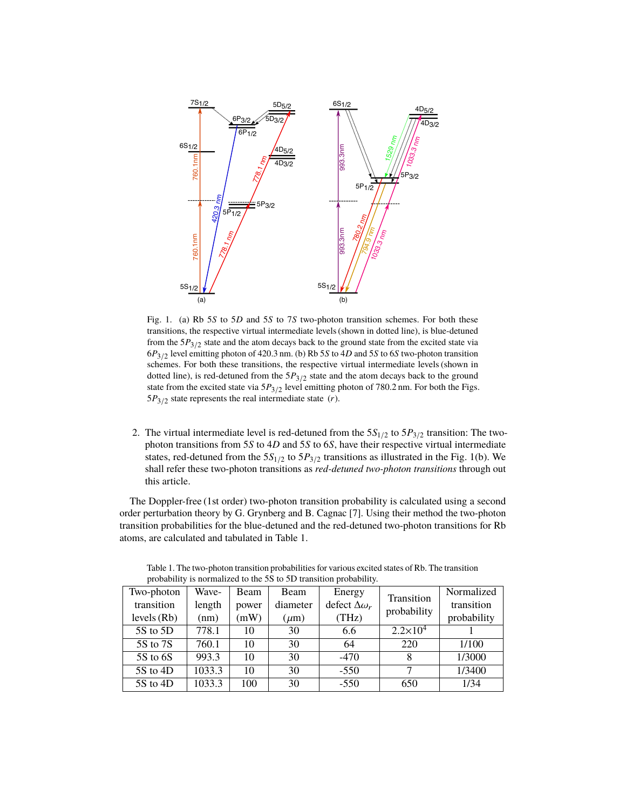

<span id="page-2-0"></span>Fig. 1. (a) Rb 5*S* to 5*D* and 5*S* to 7*S* two-photon transition schemes. For both these transitions, the respective virtual intermediate levels (shown in dotted line), is blue-detuned from the  $5P_{3/2}$  state and the atom decays back to the ground state from the excited state via 6*P*3/<sup>2</sup> level emitting photon of 420.3 nm. (b) Rb 5*S* to 4*D* and 5*S* to 6*S* two-photon transition schemes. For both these transitions, the respective virtual intermediate levels (shown in dotted line), is red-detuned from the 5*P*3/<sup>2</sup> state and the atom decays back to the ground state from the excited state via  $5P_{3/2}$  level emitting photon of 780.2 nm. For both the Figs. 5*P*3/<sup>2</sup> state represents the real intermediate state (*r*).

2. The virtual intermediate level is red-detuned from the  $5S_{1/2}$  to  $5P_{3/2}$  transition: The twophoton transitions from 5*S* to 4*D* and 5*S* to 6*S*, have their respective virtual intermediate states, red-detuned from the  $5S_{1/2}$  to  $5P_{3/2}$  transitions as illustrated in the Fig. [1\(](#page-2-0)b). We shall refer these two-photon transitions as *red-detuned two-photon transitions* through out this article.

The Doppler-free (1st order) two-photon transition probability is calculated using a second order perturbation theory by G. Grynberg and B. Cagnac [\[7\]](#page-0-6). Using their method the two-photon transition probabilities for the blue-detuned and the red-detuned two-photon transitions for Rb atoms, are calculated and tabulated in Table [1.](#page-2-1)

<span id="page-2-1"></span>

| $\mu$ ovavinty is normanzed to the 33 to 3D transition $\mu$ tovavinty. |        |       |           |                         |                           |             |
|-------------------------------------------------------------------------|--------|-------|-----------|-------------------------|---------------------------|-------------|
| Two-photon                                                              | Wave-  | Beam  | Beam      | Energy                  | Transition<br>probability | Normalized  |
| transition                                                              | length | power | diameter  | defect $\Delta\omega_r$ |                           | transition  |
| levels $(Rb)$                                                           | (nm)   | (mW)  | $(\mu m)$ | (THz)                   |                           | probability |
| 5S to 5D                                                                | 778.1  | 10    | 30        | 6.6                     | $2.2 \times 10^4$         |             |
| 5S to 7S                                                                | 760.1  | 10    | 30        | 64                      | 220                       | 1/100       |
| 5S to 6S                                                                | 993.3  | 10    | 30        | $-470$                  | 8                         | 1/3000      |
| 5S to 4D                                                                | 1033.3 | 10    | 30        | $-550$                  | 7                         | 1/3400      |
| $5S$ to $4D$                                                            | 1033.3 | 100   | 30        | $-550$                  | 650                       | 1/34        |

Table 1. The two-photon transition probabilities for various excited states of Rb. The transition probability is normalized to the 5S to 5D transition probability.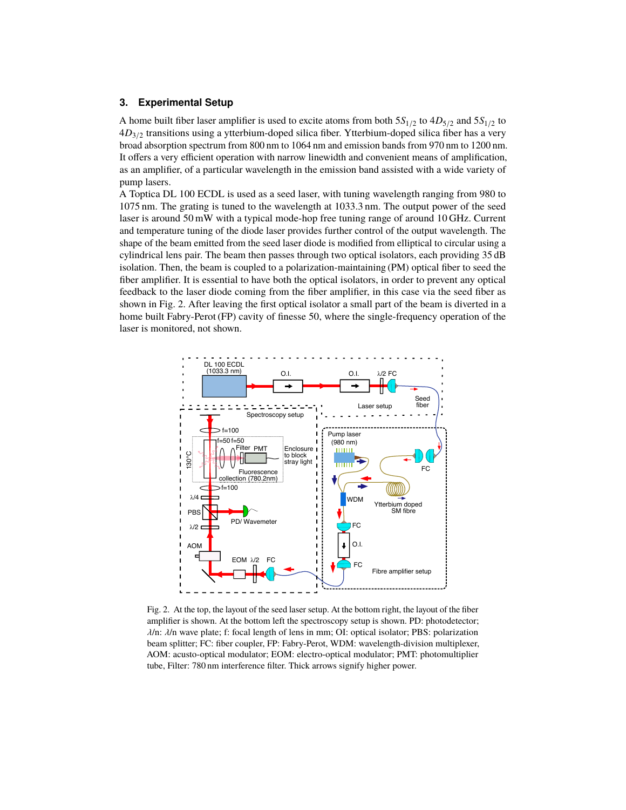# **3. Experimental Setup**

A home built fiber laser amplifier is used to excite atoms from both  $5S_{1/2}$  to  $4D_{5/2}$  and  $5S_{1/2}$  to 4*D*3/<sup>2</sup> transitions using a ytterbium-doped silica fiber. Ytterbium-doped silica fiber has a very broad absorption spectrum from 800 nm to 1064 nm and emission bands from 970 nm to 1200 nm. It offers a very efficient operation with narrow linewidth and convenient means of amplification, as an amplifier, of a particular wavelength in the emission band assisted with a wide variety of pump lasers.

A Toptica DL 100 ECDL is used as a seed laser, with tuning wavelength ranging from 980 to 1075 nm. The grating is tuned to the wavelength at 1033.3 nm. The output power of the seed laser is around 50 mW with a typical mode-hop free tuning range of around 10 GHz. Current and temperature tuning of the diode laser provides further control of the output wavelength. The shape of the beam emitted from the seed laser diode is modified from elliptical to circular using a cylindrical lens pair. The beam then passes through two optical isolators, each providing 35 dB isolation. Then, the beam is coupled to a polarization-maintaining (PM) optical fiber to seed the fiber amplifier. It is essential to have both the optical isolators, in order to prevent any optical feedback to the laser diode coming from the fiber amplifier, in this case via the seed fiber as shown in Fig. [2.](#page-3-0) After leaving the first optical isolator a small part of the beam is diverted in a home built Fabry-Perot (FP) cavity of finesse 50, where the single-frequency operation of the laser is monitored, not shown.



<span id="page-3-0"></span>Fig. 2. At the top, the layout of the seed laser setup. At the bottom right, the layout of the fiber amplifier is shown. At the bottom left the spectroscopy setup is shown. PD: photodetector;  $\lambda$ /n:  $\lambda$ /n wave plate; f: focal length of lens in mm; OI: optical isolator; PBS: polarization beam splitter; FC: fiber coupler, FP: Fabry-Perot, WDM: wavelength-division multiplexer, AOM: acusto-optical modulator; EOM: electro-optical modulator; PMT: photomultiplier tube, Filter: 780 nm interference filter. Thick arrows signify higher power.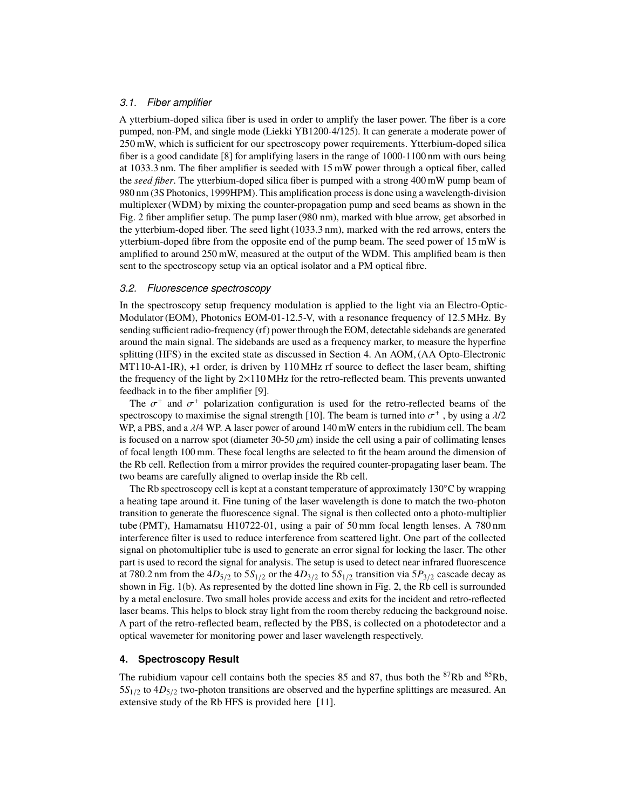### *3.1. Fiber amplifier*

A ytterbium-doped silica fiber is used in order to amplify the laser power. The fiber is a core pumped, non-PM, and single mode (Liekki YB1200-4/125). It can generate a moderate power of 250 mW, which is sufficient for our spectroscopy power requirements. Ytterbium-doped silica fiber is a good candidate [\[8\]](#page-0-7) for amplifying lasers in the range of 1000-1100 nm with ours being at 1033.3 nm. The fiber amplifier is seeded with 15 mW power through a optical fiber, called the *seed fiber*. The ytterbium-doped silica fiber is pumped with a strong 400 mW pump beam of 980 nm (3S Photonics, 1999HPM). This amplification process is done using a wavelength-division multiplexer (WDM) by mixing the counter-propagation pump and seed beams as shown in the Fig. [2](#page-3-0) fiber amplifier setup. The pump laser (980 nm), marked with blue arrow, get absorbed in the ytterbium-doped fiber. The seed light (1033.3 nm), marked with the red arrows, enters the ytterbium-doped fibre from the opposite end of the pump beam. The seed power of 15 mW is amplified to around 250 mW, measured at the output of the WDM. This amplified beam is then sent to the spectroscopy setup via an optical isolator and a PM optical fibre.

#### *3.2. Fluorescence spectroscopy*

In the spectroscopy setup frequency modulation is applied to the light via an Electro-Optic-Modulator (EOM), Photonics EOM-01-12.5-V, with a resonance frequency of 12.5 MHz. By sending sufficient radio-frequency (rf) power through the EOM, detectable sidebands are generated around the main signal. The sidebands are used as a frequency marker, to measure the hyperfine splitting (HFS) in the excited state as discussed in Section [4.](#page-4-0) An AOM, (AA Opto-Electronic MT110-A1-IR), +1 order, is driven by 110 MHz rf source to deflect the laser beam, shifting the frequency of the light by 2×110 MHz for the retro-reflected beam. This prevents unwanted feedback in to the fiber amplifier [\[9\]](#page-0-8).

The  $\sigma^+$  and  $\sigma^+$  polarization configuration is used for the retro-reflected beams of the extroscopy to maximise the signal strength [10]. The beam is turned into  $\sigma^+$ , by using a  $\frac{1}{2}$ spectroscopy to maximise the signal strength [\[10\]](#page-0-9). The beam is turned into  $\sigma^+$ , by using a  $\lambda/2$ <br>WP a PBS, and a  $\lambda/4$  WP. A laser power of around 140 mW enters in the rubidium cell. The beam WP, a PBS, and a λ/4 WP. A laser power of around 140 mW enters in the rubidium cell. The beam is focused on a narrow spot (diameter  $30-50 \mu m$ ) inside the cell using a pair of collimating lenses of focal length 100 mm. These focal lengths are selected to fit the beam around the dimension of the Rb cell. Reflection from a mirror provides the required counter-propagating laser beam. The two beams are carefully aligned to overlap inside the Rb cell.

The Rb spectroscopy cell is kept at a constant temperature of approximately 130◦C by wrapping a heating tape around it. Fine tuning of the laser wavelength is done to match the two-photon transition to generate the fluorescence signal. The signal is then collected onto a photo-multiplier tube (PMT), Hamamatsu H10722-01, using a pair of 50 mm focal length lenses. A 780 nm interference filter is used to reduce interference from scattered light. One part of the collected signal on photomultiplier tube is used to generate an error signal for locking the laser. The other part is used to record the signal for analysis. The setup is used to detect near infrared fluorescence at 780.2 nm from the  $4D_{5/2}$  to  $5S_{1/2}$  or the  $4D_{3/2}$  to  $5S_{1/2}$  transition via  $5P_{3/2}$  cascade decay as shown in Fig. [1\(](#page-2-0)b). As represented by the dotted line shown in Fig. [2,](#page-3-0) the Rb cell is surrounded by a metal enclosure. Two small holes provide access and exits for the incident and retro-reflected laser beams. This helps to block stray light from the room thereby reducing the background noise. A part of the retro-reflected beam, reflected by the PBS, is collected on a photodetector and a optical wavemeter for monitoring power and laser wavelength respectively.

# <span id="page-4-0"></span>**4. Spectroscopy Result**

The rubidium vapour cell contains both the species 85 and 87, thus both the  ${}^{87}Rb$  and  ${}^{85}Rb$ ,  $5S<sub>1/2</sub>$  to  $4D<sub>5/2</sub>$  two-photon transitions are observed and the hyperfine splittings are measured. An extensive study of the Rb HFS is provided here [\[11\]](#page-0-10).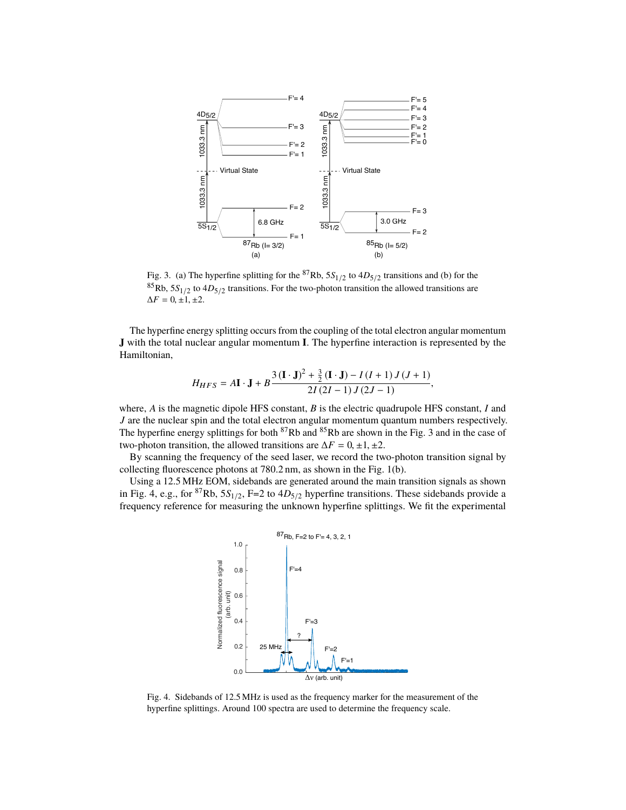

<span id="page-5-0"></span>Fig. 3. (a) The hyperfine splitting for the <sup>87</sup>Rb,  $5S_{1/2}$  to  $4D_{5/2}$  transitions and (b) for the  ${}^{85}$ Rb,  $5S_{1/2}$  to  $4D_{5/2}$  transitions. For the two-photon transition the allowed transitions are  $\Delta F = 0, \pm 1, \pm 2.$ 

The hyperfine energy splitting occurs from the coupling of the total electron angular momentum **J** with the total nuclear angular momentum **I**. The hyperfine interaction is represented by the Hamiltonian,

$$
H_{HFS} = A\mathbf{I} \cdot \mathbf{J} + B\frac{3(\mathbf{I} \cdot \mathbf{J})^2 + \frac{3}{2}(\mathbf{I} \cdot \mathbf{J}) - I(I+1)J(J+1)}{2I(2I-1)J(2J-1)},
$$

where, *A* is the magnetic dipole HFS constant, *B* is the electric quadrupole HFS constant, *I* and *J* are the nuclear spin and the total electron angular momentum quantum numbers respectively. The hyperfine energy splittings for both  ${}^{87}Rb$  and  ${}^{85}Rb$  are shown in the Fig. [3](#page-5-0) and in the case of two-photon transition, the allowed transitions are  $\Delta F = 0, \pm 1, \pm 2$ .

By scanning the frequency of the seed laser, we record the two-photon transition signal by collecting fluorescence photons at 780.2 nm, as shown in the Fig. [1\(](#page-2-0)b).

Using a 12.5 MHz EOM, sidebands are generated around the main transition signals as shown in Fig. [4,](#page-5-1) e.g., for <sup>87</sup>Rb,  $5S<sub>1/2</sub>$ , F=2 to  $4D<sub>5/2</sub>$  hyperfine transitions. These sidebands provide a frequency reference for measuring the unknown hyperfine splittings. We fit the experimental



<span id="page-5-1"></span>Fig. 4. Sidebands of 12.5 MHz is used as the frequency marker for the measurement of the hyperfine splittings. Around 100 spectra are used to determine the frequency scale.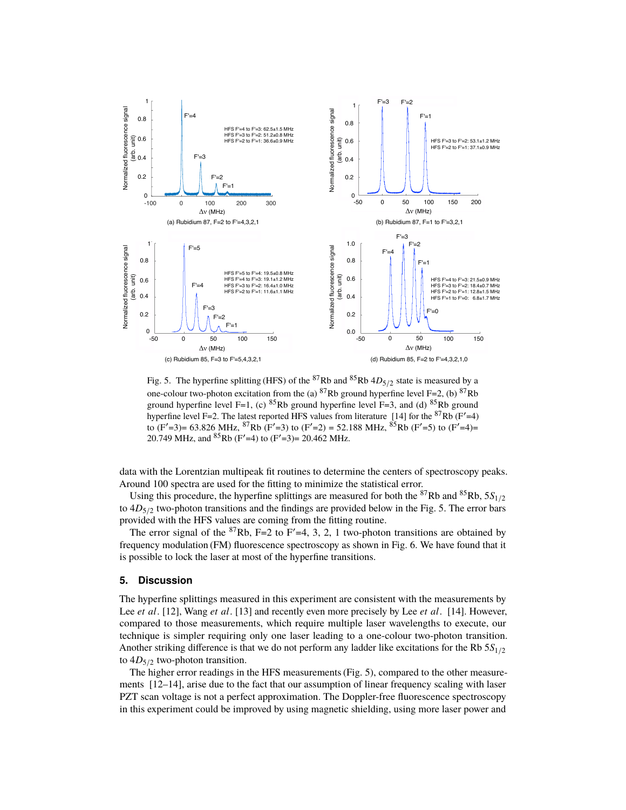

<span id="page-6-0"></span>Fig. 5. The hyperfine splitting (HFS) of the <sup>87</sup>Rb and <sup>85</sup>Rb  $4D_{5/2}$  state is measured by a one-colour two-photon excitation from the (a) <sup>87</sup>Rb ground hyperfine level F=2, (b) <sup>87</sup>Rb ground hyperfine level F=1, (c)  ${}^{85}$ Rb ground hyperfine level F=3, and (d)  ${}^{85}$ Rb ground hyperfine level F=2. The latest reported HFS values from literature [\[14\]](#page-1-0) for the  ${}^{87}Rb$  (F'=4) to (F'=3)= 63.826 MHz,  ${}^{87}Rb$  (F'=3) to (F'=2) = 52.188 MHz,  ${}^{85}Rb$  (F'=5) to (F'=4)= 20.749 MHz, and  ${}^{85}Rb$  (F'=4) to (F'=3)= 20.462 MHz.

data with the Lorentzian multipeak fit routines to determine the centers of spectroscopy peaks. Around 100 spectra are used for the fitting to minimize the statistical error.

Using this procedure, the hyperfine splittings are measured for both the <sup>87</sup>Rb and <sup>85</sup>Rb,  $5S<sub>1/2</sub>$ to  $4D_{5/2}$  two-photon transitions and the findings are provided below in the Fig. [5.](#page-6-0) The error bars provided with the HFS values are coming from the fitting routine.

The error signal of the  ${}^{87}Rb$ , F=2 to F'=4, 3, 2, 1 two-photon transitions are obtained by frequency modulation (FM) fluorescence spectroscopy as shown in Fig. [6.](#page-7-0) We have found that it is possible to lock the laser at most of the hyperfine transitions.

#### **5. Discussion**

The hyperfine splittings measured in this experiment are consistent with the measurements by Lee *et al*. [\[12\]](#page-0-11), Wang *et al*. [\[13\]](#page-0-12) and recently even more precisely by Lee *et al*. [\[14\]](#page-1-0). However, compared to those measurements, which require multiple laser wavelengths to execute, our technique is simpler requiring only one laser leading to a one-colour two-photon transition. Another striking difference is that we do not perform any ladder like excitations for the Rb 5*S*1/<sup>2</sup> to  $4D_{5/2}$  two-photon transition.

The higher error readings in the HFS measurements (Fig. [5\)](#page-6-0), compared to the other measurements [\[12](#page-0-11)[–14\]](#page-1-0), arise due to the fact that our assumption of linear frequency scaling with laser PZT scan voltage is not a perfect approximation. The Doppler-free fluorescence spectroscopy in this experiment could be improved by using magnetic shielding, using more laser power and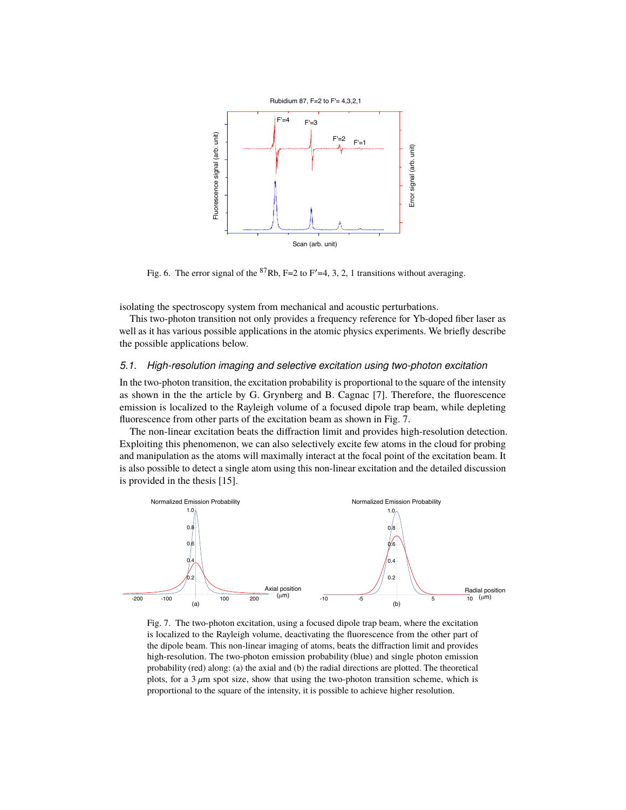

<span id="page-7-0"></span>Fig. 6. The error signal of the <sup>87</sup>Rb, F=2 to F'=4, 3, 2, 1 transitions without averaging.

isolating the spectroscopy system from mechanical and acoustic perturbations.

This two-photon transition not only provides a frequency reference for Yb-doped fiber laser as well as it has various possible applications in the atomic physics experiments. We briefly describe the possible applications below.

# *5.1. High-resolution imaging and selective excitation using two-photon excitation*

In the two-photon transition, the excitation probability is proportional to the square of the intensity as shown in the the article by G. Grynberg and B. Cagnac [\[7\]](#page-0-6). Therefore, the fluorescence emission is localized to the Rayleigh volume of a focused dipole trap beam, while depleting fluorescence from other parts of the excitation beam as shown in Fig. [7.](#page-7-1)

The non-linear excitation beats the diffraction limit and provides high-resolution detection. Exploiting this phenomenon, we can also selectively excite few atoms in the cloud for probing and manipulation as the atoms will maximally interact at the focal point of the excitation beam. It is also possible to detect a single atom using this non-linear excitation and the detailed discussion is provided in the thesis [\[15\]](#page-1-1).



<span id="page-7-1"></span>Fig. 7. The two-photon excitation, using a focused dipole trap beam, where the excitation is localized to the Rayleigh volume, deactivating the fluorescence from the other part of the dipole beam. This non-linear imaging of atoms, beats the diffraction limit and provides high-resolution. The two-photon emission probability (blue) and single photon emission probability (red) along: (a) the axial and (b) the radial directions are plotted. The theoretical plots, for a  $3 \mu m$  spot size, show that using the two-photon transition scheme, which is proportional to the square of the intensity, it is possible to achieve higher resolution.